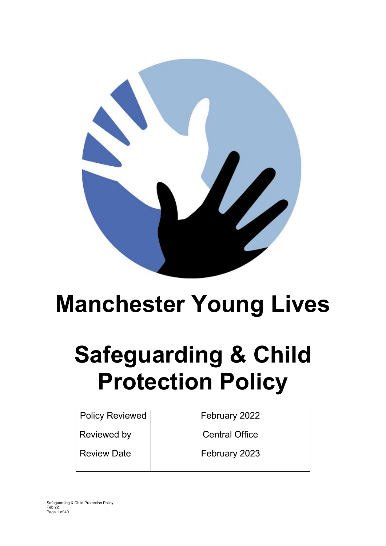

# **Manchester Young Lives**

# **Safeguarding & Child Protection Policy**

| <b>Policy Reviewed</b> | February 2022         |
|------------------------|-----------------------|
| Reviewed by            | <b>Central Office</b> |
| <b>Review Date</b>     | February 2023         |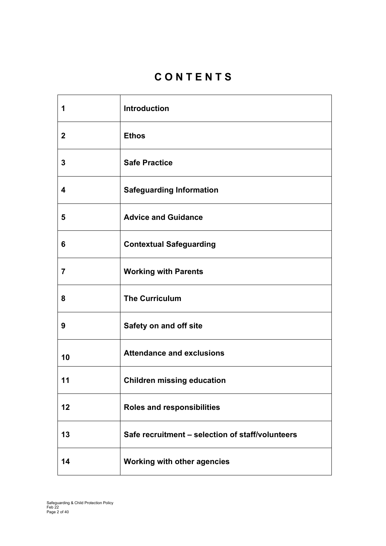# **C O N T E N T S**

| 1           | <b>Introduction</b>                              |  |  |  |
|-------------|--------------------------------------------------|--|--|--|
| $\mathbf 2$ | <b>Ethos</b>                                     |  |  |  |
| 3           | <b>Safe Practice</b>                             |  |  |  |
| 4           | <b>Safeguarding Information</b>                  |  |  |  |
| 5           | <b>Advice and Guidance</b>                       |  |  |  |
| 6           | <b>Contextual Safeguarding</b>                   |  |  |  |
| 7           | <b>Working with Parents</b>                      |  |  |  |
| 8           | <b>The Curriculum</b>                            |  |  |  |
| 9           | Safety on and off site                           |  |  |  |
| 10          | <b>Attendance and exclusions</b>                 |  |  |  |
| 11          | <b>Children missing education</b>                |  |  |  |
| 12          | <b>Roles and responsibilities</b>                |  |  |  |
| 13          | Safe recruitment - selection of staff/volunteers |  |  |  |
| 14          | Working with other agencies                      |  |  |  |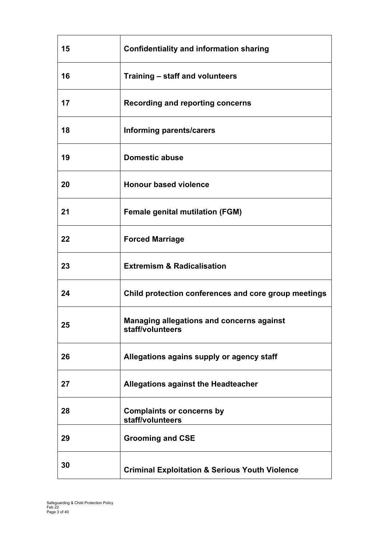| 15 | <b>Confidentiality and information sharing</b>                       |  |  |  |
|----|----------------------------------------------------------------------|--|--|--|
| 16 | Training - staff and volunteers                                      |  |  |  |
| 17 | Recording and reporting concerns                                     |  |  |  |
| 18 | Informing parents/carers                                             |  |  |  |
| 19 | <b>Domestic abuse</b>                                                |  |  |  |
| 20 | <b>Honour based violence</b>                                         |  |  |  |
| 21 | <b>Female genital mutilation (FGM)</b>                               |  |  |  |
| 22 | <b>Forced Marriage</b>                                               |  |  |  |
| 23 | <b>Extremism &amp; Radicalisation</b>                                |  |  |  |
| 24 | Child protection conferences and core group meetings                 |  |  |  |
| 25 | <b>Managing allegations and concerns against</b><br>staff/volunteers |  |  |  |
| 26 | Allegations agains supply or agency staff                            |  |  |  |
| 27 | <b>Allegations against the Headteacher</b>                           |  |  |  |
| 28 | <b>Complaints or concerns by</b><br>staff/volunteers                 |  |  |  |
| 29 | <b>Grooming and CSE</b>                                              |  |  |  |
| 30 | <b>Criminal Exploitation &amp; Serious Youth Violence</b>            |  |  |  |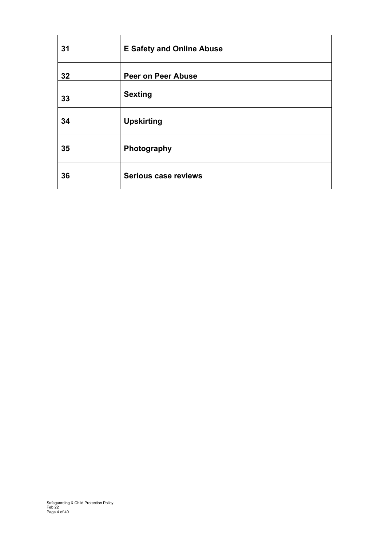| 31 | <b>E Safety and Online Abuse</b> |  |  |  |  |
|----|----------------------------------|--|--|--|--|
| 32 | <b>Peer on Peer Abuse</b>        |  |  |  |  |
| 33 | <b>Sexting</b>                   |  |  |  |  |
| 34 | <b>Upskirting</b>                |  |  |  |  |
| 35 | Photography                      |  |  |  |  |
| 36 | <b>Serious case reviews</b>      |  |  |  |  |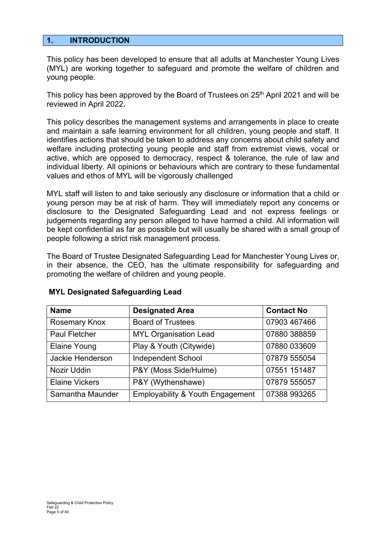### **1. INTRODUCTION**

This policy has been developed to ensure that all adults at Manchester Young Lives (MYL) are working together to safeguard and promote the welfare of children and young people.

This policy has been approved by the Board of Trustees on 25<sup>th</sup> April 2021 and will be reviewed in April 2022**.**

This policy describes the management systems and arrangements in place to create and maintain a safe learning environment for all children, young people and staff. It identifies actions that should be taken to address any concerns about child safety and welfare including protecting young people and staff from extremist views, vocal or active, which are opposed to democracy, respect & tolerance, the rule of law and individual liberty. All opinions or behaviours which are contrary to these fundamental values and ethos of MYL will be vigorously challenged

MYL staff will listen to and take seriously any disclosure or information that a child or young person may be at risk of harm. They will immediately report any concerns or disclosure to the Designated Safeguarding Lead and not express feelings or judgements regarding any person alleged to have harmed a child. All information will be kept confidential as far as possible but will usually be shared with a small group of people following a strict risk management process.

The Board of Trustee Designated Safeguarding Lead for Manchester Young Lives or, in their absence, the CEO, has the ultimate responsibility for safeguarding and promoting the welfare of children and young people.

| <b>Name</b>           | <b>Designated Area</b>                      | <b>Contact No</b> |
|-----------------------|---------------------------------------------|-------------------|
| <b>Rosemary Knox</b>  | <b>Board of Trustees</b>                    | 07903 467466      |
| <b>Paul Fletcher</b>  | <b>MYL Organisation Lead</b>                | 07880 388859      |
| <b>Elaine Young</b>   | Play & Youth (Citywide)                     | 07880 033609      |
| Jackie Henderson      | <b>Independent School</b>                   | 07879 555054      |
| Nozir Uddin           | P&Y (Moss Side/Hulme)                       | 07551 151487      |
| <b>Elaine Vickers</b> | P&Y (Wythenshawe)                           | 07879 555057      |
| Samantha Maunder      | <b>Employability &amp; Youth Engagement</b> | 07388 993265      |

# **MYL Designated Safeguarding Lead**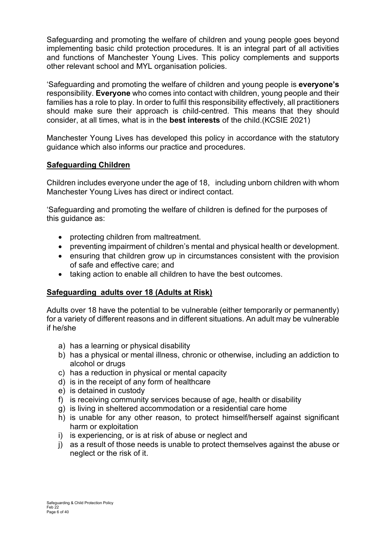Safeguarding and promoting the welfare of children and young people goes beyond implementing basic child protection procedures. It is an integral part of all activities and functions of Manchester Young Lives. This policy complements and supports other relevant school and MYL organisation policies.

'Safeguarding and promoting the welfare of children and young people is **everyone's** responsibility. **Everyone** who comes into contact with children, young people and their families has a role to play. In order to fulfil this responsibility effectively, all practitioners should make sure their approach is child-centred. This means that they should consider, at all times, what is in the **best interests** of the child.(KCSIE 2021)

Manchester Young Lives has developed this policy in accordance with the statutory guidance which also informs our practice and procedures.

# **Safeguarding Children**

Children includes everyone under the age of 18, including unborn children with whom Manchester Young Lives has direct or indirect contact.

'Safeguarding and promoting the welfare of children is defined for the purposes of this guidance as:

- protecting children from maltreatment.
- preventing impairment of children's mental and physical health or development.
- ensuring that children grow up in circumstances consistent with the provision of safe and effective care; and
- taking action to enable all children to have the best outcomes.

#### **Safeguarding adults over 18 (Adults at Risk)**

Adults over 18 have the potential to be vulnerable (either temporarily or permanently) for a variety of different reasons and in different situations. An adult may be vulnerable if he/she

- a) has a learning or physical disability
- b) has a physical or mental illness, chronic or otherwise, including an addiction to alcohol or drugs
- c) has a reduction in physical or mental capacity
- d) is in the receipt of any form of healthcare
- e) is detained in custody
- f) is receiving community services because of age, health or disability
- g) is living in sheltered accommodation or a residential care home
- h) is unable for any other reason, to protect himself/herself against significant harm or exploitation
- i) is experiencing, or is at risk of abuse or neglect and
- j) as a result of those needs is unable to protect themselves against the abuse or neglect or the risk of it.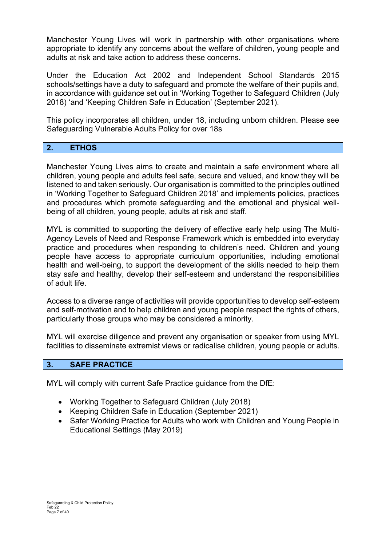Manchester Young Lives will work in partnership with other organisations where appropriate to identify any concerns about the welfare of children, young people and adults at risk and take action to address these concerns.

Under the Education Act 2002 and Independent School Standards 2015 schools/settings have a duty to safeguard and promote the welfare of their pupils and, in accordance with guidance set out in 'Working Together to Safeguard Children (July 2018) 'and 'Keeping Children Safe in Education' (September 2021).

This policy incorporates all children, under 18, including unborn children. Please see Safeguarding Vulnerable Adults Policy for over 18s

# **2. ETHOS**

Manchester Young Lives aims to create and maintain a safe environment where all children, young people and adults feel safe, secure and valued, and know they will be listened to and taken seriously. Our organisation is committed to the principles outlined in 'Working Together to Safeguard Children 2018' and implements policies, practices and procedures which promote safeguarding and the emotional and physical wellbeing of all children, young people, adults at risk and staff.

MYL is committed to supporting the delivery of effective early help using The Multi-Agency Levels of Need and Response Framework which is embedded into everyday practice and procedures when responding to children's need. Children and young people have access to appropriate curriculum opportunities, including emotional health and well-being, to support the development of the skills needed to help them stay safe and healthy, develop their self-esteem and understand the responsibilities of adult life.

Access to a diverse range of activities will provide opportunities to develop self-esteem and self-motivation and to help children and young people respect the rights of others, particularly those groups who may be considered a minority.

MYL will exercise diligence and prevent any organisation or speaker from using MYL facilities to disseminate extremist views or radicalise children, young people or adults.

#### **3. SAFE PRACTICE**

MYL will comply with current Safe Practice guidance from the DfE:

- Working Together to Safeguard Children (July 2018)
- Keeping Children Safe in Education (September 2021)
- Safer Working Practice for Adults who work with Children and Young People in Educational Settings (May 2019)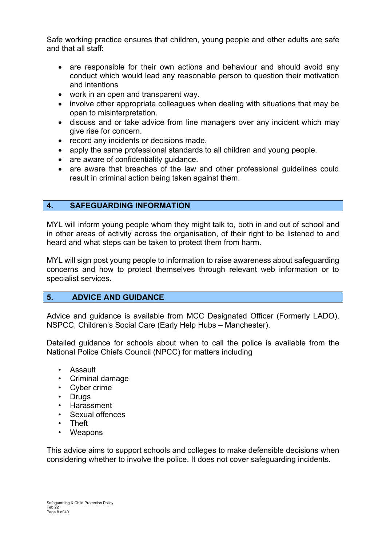Safe working practice ensures that children, young people and other adults are safe and that all staff:

- are responsible for their own actions and behaviour and should avoid any conduct which would lead any reasonable person to question their motivation and intentions
- work in an open and transparent way.
- involve other appropriate colleagues when dealing with situations that may be open to misinterpretation.
- discuss and or take advice from line managers over any incident which may give rise for concern.
- record any incidents or decisions made.
- apply the same professional standards to all children and young people.
- are aware of confidentiality guidance.
- are aware that breaches of the law and other professional guidelines could result in criminal action being taken against them.

# **4. SAFEGUARDING INFORMATION**

MYL will inform young people whom they might talk to, both in and out of school and in other areas of activity across the organisation, of their right to be listened to and heard and what steps can be taken to protect them from harm.

MYL will sign post young people to information to raise awareness about safeguarding concerns and how to protect themselves through relevant web information or to specialist services.

#### **5. ADVICE AND GUIDANCE**

Advice and guidance is available from MCC Designated Officer (Formerly LADO), NSPCC, Children's Social Care (Early Help Hubs – Manchester).

Detailed guidance for schools about when to call the police is available from the National Police Chiefs Council (NPCC) for matters including

- Assault
- Criminal damage
- Cyber crime<br>• Drugs
- **Drugs**
- Harassment
- Sexual offences
- Theft
- Weapons

This advice aims to support schools and colleges to make defensible decisions when considering whether to involve the police. It does not cover safeguarding incidents.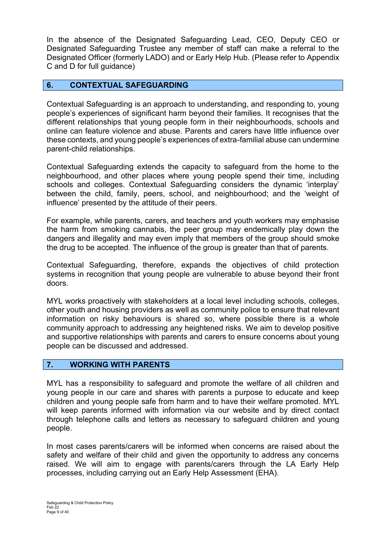In the absence of the Designated Safeguarding Lead, CEO, Deputy CEO or Designated Safeguarding Trustee any member of staff can make a referral to the Designated Officer (formerly LADO) and or Early Help Hub. (Please refer to Appendix C and D for full guidance)

# **6. CONTEXTUAL SAFEGUARDING**

Contextual Safeguarding is an approach to understanding, and responding to, young people's experiences of significant harm beyond their families. It recognises that the different relationships that young people form in their neighbourhoods, schools and online can feature violence and abuse. Parents and carers have little influence over these contexts, and young people's experiences of extra-familial abuse can undermine parent-child relationships.

Contextual Safeguarding extends the capacity to safeguard from the home to the neighbourhood, and other places where young people spend their time, including schools and colleges. Contextual Safeguarding considers the dynamic 'interplay' between the child, family, peers, school, and neighbourhood; and the 'weight of influence' presented by the attitude of their peers.

For example, while parents, carers, and teachers and youth workers may emphasise the harm from smoking cannabis, the peer group may endemically play down the dangers and illegality and may even imply that members of the group should smoke the drug to be accepted. The influence of the group is greater than that of parents.

Contextual Safeguarding, therefore, expands the objectives of child protection systems in recognition that young people are vulnerable to abuse beyond their front doors.

MYL works proactively with stakeholders at a local level including schools, colleges, other youth and housing providers as well as community police to ensure that relevant information on risky behaviours is shared so, where possible there is a whole community approach to addressing any heightened risks. We aim to develop positive and supportive relationships with parents and carers to ensure concerns about young people can be discussed and addressed.

#### **7. WORKING WITH PARENTS**

MYL has a responsibility to safeguard and promote the welfare of all children and young people in our care and shares with parents a purpose to educate and keep children and young people safe from harm and to have their welfare promoted. MYL will keep parents informed with information via our website and by direct contact through telephone calls and letters as necessary to safeguard children and young people.

In most cases parents/carers will be informed when concerns are raised about the safety and welfare of their child and given the opportunity to address any concerns raised. We will aim to engage with parents/carers through the LA Early Help processes, including carrying out an Early Help Assessment (EHA).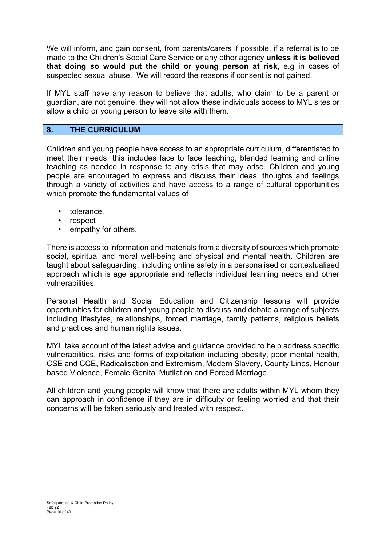We will inform, and gain consent, from parents/carers if possible, if a referral is to be made to the Children's Social Care Service or any other agency **unless it is believed that doing so would put the child or young person at risk,** e.g in cases of suspected sexual abuse. We will record the reasons if consent is not gained.

If MYL staff have any reason to believe that adults, who claim to be a parent or guardian, are not genuine, they will not allow these individuals access to MYL sites or allow a child or young person to leave site with them.

# **8. THE CURRICULUM**

Children and young people have access to an appropriate curriculum, differentiated to meet their needs, this includes face to face teaching, blended learning and online teaching as needed in response to any crisis that may arise. Children and young people are encouraged to express and discuss their ideas, thoughts and feelings through a variety of activities and have access to a range of cultural opportunities which promote the fundamental values of

- tolerance,
- respect
- empathy for others.

There is access to information and materials from a diversity of sources which promote social, spiritual and moral well-being and physical and mental health. Children are taught about safeguarding, including online safety in a personalised or contextualised approach which is age appropriate and reflects individual learning needs and other vulnerabilities.

Personal Health and Social Education and Citizenship lessons will provide opportunities for children and young people to discuss and debate a range of subjects including lifestyles, relationships, forced marriage, family patterns, religious beliefs and practices and human rights issues.

MYL take account of the latest advice and guidance provided to help address specific vulnerabilities, risks and forms of exploitation including obesity, poor mental health, CSE and CCE, Radicalisation and Extremism, Modern Slavery, County Lines, Honour based Violence, Female Genital Mutilation and Forced Marriage.

All children and young people will know that there are adults within MYL whom they can approach in confidence if they are in difficulty or feeling worried and that their concerns will be taken seriously and treated with respect.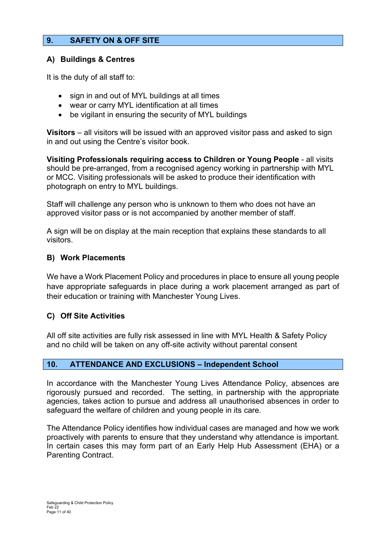# **9. SAFETY ON & OFF SITE**

# **A) Buildings & Centres**

It is the duty of all staff to:

- sign in and out of MYL buildings at all times
- wear or carry MYL identification at all times
- be vigilant in ensuring the security of MYL buildings

**Visitors** – all visitors will be issued with an approved visitor pass and asked to sign in and out using the Centre's visitor book.

**Visiting Professionals requiring access to Children or Young People** - all visits should be pre-arranged, from a recognised agency working in partnership with MYL or MCC. Visiting professionals will be asked to produce their identification with photograph on entry to MYL buildings.

Staff will challenge any person who is unknown to them who does not have an approved visitor pass or is not accompanied by another member of staff.

A sign will be on display at the main reception that explains these standards to all visitors.

#### **B) Work Placements**

We have a Work Placement Policy and procedures in place to ensure all young people have appropriate safeguards in place during a work placement arranged as part of their education or training with Manchester Young Lives.

# **C) Off Site Activities**

All off site activities are fully risk assessed in line with MYL Health & Safety Policy and no child will be taken on any off-site activity without parental consent

#### **10. ATTENDANCE AND EXCLUSIONS – Independent School**

In accordance with the Manchester Young Lives Attendance Policy, absences are rigorously pursued and recorded. The setting, in partnership with the appropriate agencies, takes action to pursue and address all unauthorised absences in order to safeguard the welfare of children and young people in its care.

The Attendance Policy identifies how individual cases are managed and how we work proactively with parents to ensure that they understand why attendance is important. In certain cases this may form part of an Early Help Hub Assessment (EHA) or a Parenting Contract.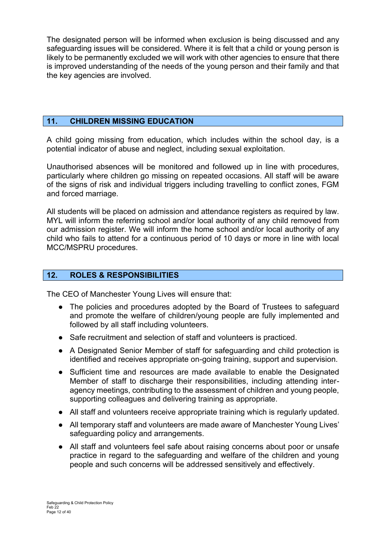The designated person will be informed when exclusion is being discussed and any safeguarding issues will be considered. Where it is felt that a child or young person is likely to be permanently excluded we will work with other agencies to ensure that there is improved understanding of the needs of the young person and their family and that the key agencies are involved.

# **11. CHILDREN MISSING EDUCATION**

A child going missing from education, which includes within the school day, is a potential indicator of abuse and neglect, including sexual exploitation.

Unauthorised absences will be monitored and followed up in line with procedures, particularly where children go missing on repeated occasions. All staff will be aware of the signs of risk and individual triggers including travelling to conflict zones, FGM and forced marriage.

All students will be placed on admission and attendance registers as required by law. MYL will inform the referring school and/or local authority of any child removed from our admission register. We will inform the home school and/or local authority of any child who fails to attend for a continuous period of 10 days or more in line with local MCC/MSPRU procedures.

# **12. ROLES & RESPONSIBILITIES**

The CEO of Manchester Young Lives will ensure that:

- The policies and procedures adopted by the Board of Trustees to safeguard and promote the welfare of children/young people are fully implemented and followed by all staff including volunteers.
- Safe recruitment and selection of staff and volunteers is practiced.
- A Designated Senior Member of staff for safeguarding and child protection is identified and receives appropriate on-going training, support and supervision.
- Sufficient time and resources are made available to enable the Designated Member of staff to discharge their responsibilities, including attending interagency meetings, contributing to the assessment of children and young people, supporting colleagues and delivering training as appropriate.
- All staff and volunteers receive appropriate training which is regularly updated.
- All temporary staff and volunteers are made aware of Manchester Young Lives' safeguarding policy and arrangements.
- All staff and volunteers feel safe about raising concerns about poor or unsafe practice in regard to the safeguarding and welfare of the children and young people and such concerns will be addressed sensitively and effectively.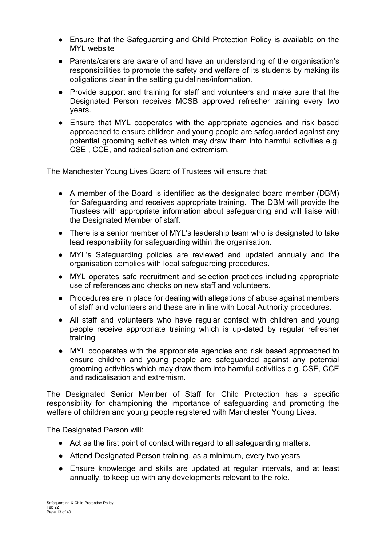- Ensure that the Safeguarding and Child Protection Policy is available on the MYL website
- Parents/carers are aware of and have an understanding of the organisation's responsibilities to promote the safety and welfare of its students by making its obligations clear in the setting guidelines/information.
- Provide support and training for staff and volunteers and make sure that the Designated Person receives MCSB approved refresher training every two years.
- Ensure that MYL cooperates with the appropriate agencies and risk based approached to ensure children and young people are safeguarded against any potential grooming activities which may draw them into harmful activities e.g. CSE , CCE, and radicalisation and extremism.

The Manchester Young Lives Board of Trustees will ensure that:

- A member of the Board is identified as the designated board member (DBM) for Safeguarding and receives appropriate training. The DBM will provide the Trustees with appropriate information about safeguarding and will liaise with the Designated Member of staff.
- There is a senior member of MYL's leadership team who is designated to take lead responsibility for safeguarding within the organisation.
- MYL's Safeguarding policies are reviewed and updated annually and the organisation complies with local safeguarding procedures.
- MYL operates safe recruitment and selection practices including appropriate use of references and checks on new staff and volunteers.
- Procedures are in place for dealing with allegations of abuse against members of staff and volunteers and these are in line with Local Authority procedures.
- All staff and volunteers who have regular contact with children and young people receive appropriate training which is up-dated by regular refresher training
- MYL cooperates with the appropriate agencies and risk based approached to ensure children and young people are safeguarded against any potential grooming activities which may draw them into harmful activities e.g. CSE, CCE and radicalisation and extremism.

The Designated Senior Member of Staff for Child Protection has a specific responsibility for championing the importance of safeguarding and promoting the welfare of children and young people registered with Manchester Young Lives.

The Designated Person will:

- Act as the first point of contact with regard to all safeguarding matters.
- Attend Designated Person training, as a minimum, every two years
- Ensure knowledge and skills are updated at regular intervals, and at least annually, to keep up with any developments relevant to the role.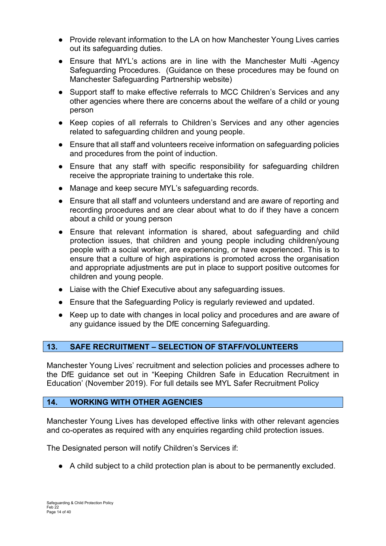- Provide relevant information to the LA on how Manchester Young Lives carries out its safeguarding duties.
- Ensure that MYL's actions are in line with the Manchester Multi -Agency Safeguarding Procedures. (Guidance on these procedures may be found on Manchester Safeguarding Partnership website)
- Support staff to make effective referrals to MCC Children's Services and any other agencies where there are concerns about the welfare of a child or young person
- Keep copies of all referrals to Children's Services and any other agencies related to safeguarding children and young people.
- Ensure that all staff and volunteers receive information on safeguarding policies and procedures from the point of induction.
- Ensure that any staff with specific responsibility for safeguarding children receive the appropriate training to undertake this role.
- Manage and keep secure MYL's safeguarding records.
- Ensure that all staff and volunteers understand and are aware of reporting and recording procedures and are clear about what to do if they have a concern about a child or young person
- Ensure that relevant information is shared, about safeguarding and child protection issues, that children and young people including children/young people with a social worker, are experiencing, or have experienced. This is to ensure that a culture of high aspirations is promoted across the organisation and appropriate adjustments are put in place to support positive outcomes for children and young people.
- Liaise with the Chief Executive about any safeguarding issues.
- Ensure that the Safeguarding Policy is regularly reviewed and updated.
- Keep up to date with changes in local policy and procedures and are aware of any guidance issued by the DfE concerning Safeguarding.

# **13. SAFE RECRUITMENT – SELECTION OF STAFF/VOLUNTEERS**

Manchester Young Lives' recruitment and selection policies and processes adhere to the DfE guidance set out in "Keeping Children Safe in Education Recruitment in Education' (November 2019). For full details see MYL Safer Recruitment Policy

# **14. WORKING WITH OTHER AGENCIES**

Manchester Young Lives has developed effective links with other relevant agencies and co-operates as required with any enquiries regarding child protection issues.

The Designated person will notify Children's Services if:

● A child subject to a child protection plan is about to be permanently excluded.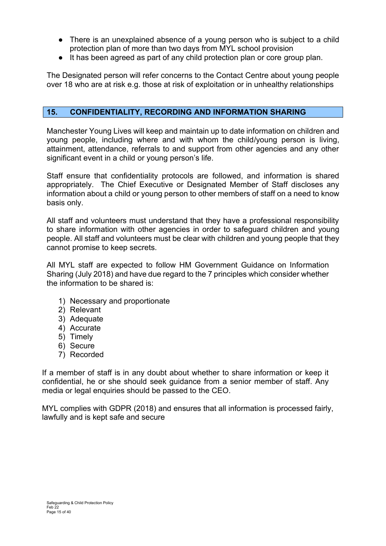- There is an unexplained absence of a young person who is subject to a child protection plan of more than two days from MYL school provision
- It has been agreed as part of any child protection plan or core group plan.

The Designated person will refer concerns to the Contact Centre about young people over 18 who are at risk e.g. those at risk of exploitation or in unhealthy relationships

# **15. CONFIDENTIALITY, RECORDING AND INFORMATION SHARING**

Manchester Young Lives will keep and maintain up to date information on children and young people, including where and with whom the child/young person is living, attainment, attendance, referrals to and support from other agencies and any other significant event in a child or young person's life.

Staff ensure that confidentiality protocols are followed, and information is shared appropriately. The Chief Executive or Designated Member of Staff discloses any information about a child or young person to other members of staff on a need to know basis only.

All staff and volunteers must understand that they have a professional responsibility to share information with other agencies in order to safeguard children and young people. All staff and volunteers must be clear with children and young people that they cannot promise to keep secrets.

All MYL staff are expected to follow HM Government Guidance on Information Sharing (July 2018) and have due regard to the 7 principles which consider whether the information to be shared is:

- 1) Necessary and proportionate
- 2) Relevant
- 3) Adequate
- 4) Accurate
- 5) Timely
- 6) Secure
- 7) Recorded

If a member of staff is in any doubt about whether to share information or keep it confidential, he or she should seek guidance from a senior member of staff. Any media or legal enquiries should be passed to the CEO.

MYL complies with GDPR (2018) and ensures that all information is processed fairly, lawfully and is kept safe and secure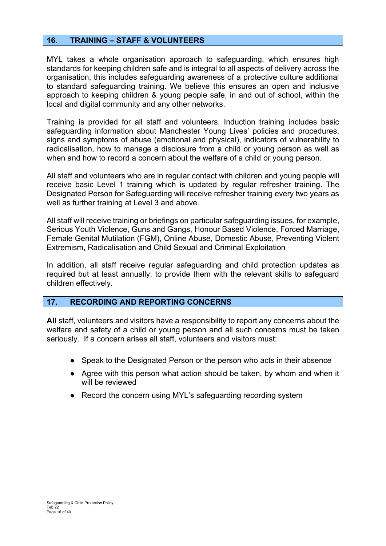# **16. TRAINING – STAFF & VOLUNTEERS**

MYL takes a whole organisation approach to safeguarding, which ensures high standards for keeping children safe and is integral to all aspects of delivery across the organisation, this includes safeguarding awareness of a protective culture additional to standard safeguarding training. We believe this ensures an open and inclusive approach to keeping children & young people safe, in and out of school, within the local and digital community and any other networks.

Training is provided for all staff and volunteers. Induction training includes basic safeguarding information about Manchester Young Lives' policies and procedures, signs and symptoms of abuse (emotional and physical), indicators of vulnerability to radicalisation, how to manage a disclosure from a child or young person as well as when and how to record a concern about the welfare of a child or young person.

All staff and volunteers who are in regular contact with children and young people will receive basic Level 1 training which is updated by regular refresher training. The Designated Person for Safeguarding will receive refresher training every two years as well as further training at Level 3 and above.

All staff will receive training or briefings on particular safeguarding issues, for example, Serious Youth Violence, Guns and Gangs, Honour Based Violence, Forced Marriage, Female Genital Mutilation (FGM), Online Abuse, Domestic Abuse, Preventing Violent Extremism, Radicalisation and Child Sexual and Criminal Exploitation

In addition, all staff receive regular safeguarding and child protection updates as required but at least annually, to provide them with the relevant skills to safeguard children effectively.

#### **17. RECORDING AND REPORTING CONCERNS**

**All** staff, volunteers and visitors have a responsibility to report any concerns about the welfare and safety of a child or young person and all such concerns must be taken seriously. If a concern arises all staff, volunteers and visitors must:

- Speak to the Designated Person or the person who acts in their absence
- Agree with this person what action should be taken, by whom and when it will be reviewed
- Record the concern using MYL's safeguarding recording system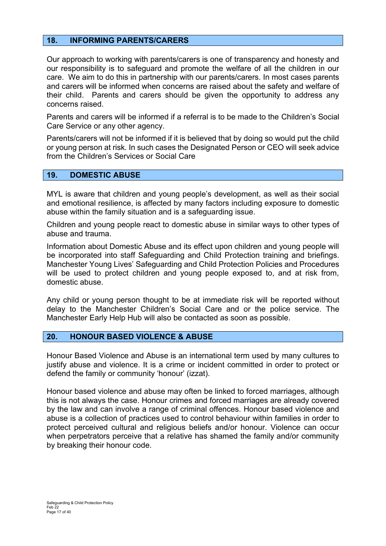#### **18. INFORMING PARENTS/CARERS**

Our approach to working with parents/carers is one of transparency and honesty and our responsibility is to safeguard and promote the welfare of all the children in our care. We aim to do this in partnership with our parents/carers. In most cases parents and carers will be informed when concerns are raised about the safety and welfare of their child. Parents and carers should be given the opportunity to address any concerns raised.

Parents and carers will be informed if a referral is to be made to the Children's Social Care Service or any other agency.

Parents/carers will not be informed if it is believed that by doing so would put the child or young person at risk. In such cases the Designated Person or CEO will seek advice from the Children's Services or Social Care

### **19. DOMESTIC ABUSE**

MYL is aware that children and young people's development, as well as their social and emotional resilience, is affected by many factors including exposure to domestic abuse within the family situation and is a safeguarding issue.

Children and young people react to domestic abuse in similar ways to other types of abuse and trauma.

Information about Domestic Abuse and its effect upon children and young people will be incorporated into staff Safeguarding and Child Protection training and briefings. Manchester Young Lives' Safeguarding and Child Protection Policies and Procedures will be used to protect children and young people exposed to, and at risk from, domestic abuse.

Any child or young person thought to be at immediate risk will be reported without delay to the Manchester Children's Social Care and or the police service. The Manchester Early Help Hub will also be contacted as soon as possible.

#### **20. HONOUR BASED VIOLENCE & ABUSE**

Honour Based Violence and Abuse is an international term used by many cultures to justify abuse and violence. It is a crime or incident committed in order to protect or defend the family or community 'honour' (izzat).

Honour based violence and abuse may often be linked to forced marriages, although this is not always the case. Honour crimes and forced marriages are already covered by the law and can involve a range of criminal offences. Honour based violence and abuse is a collection of practices used to control behaviour within families in order to protect perceived cultural and religious beliefs and/or honour. Violence can occur when perpetrators perceive that a relative has shamed the family and/or community by breaking their honour code.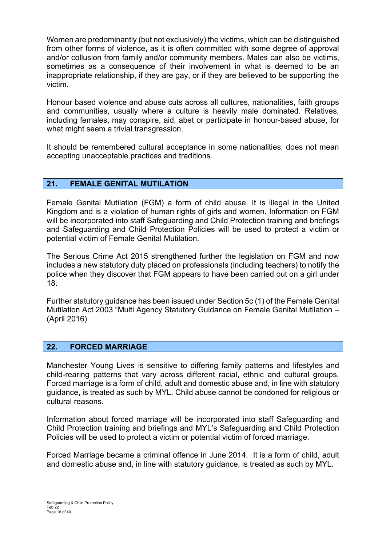Women are predominantly (but not exclusively) the victims, which can be distinguished from other forms of violence, as it is often committed with some degree of approval and/or collusion from family and/or community members. Males can also be victims, sometimes as a consequence of their involvement in what is deemed to be an inappropriate relationship, if they are gay, or if they are believed to be supporting the victim.

Honour based violence and abuse cuts across all cultures, nationalities, faith groups and communities, usually where a culture is heavily male dominated. Relatives, including females, may conspire, aid, abet or participate in honour-based abuse, for what might seem a trivial transgression.

It should be remembered cultural acceptance in some nationalities, does not mean accepting unacceptable practices and traditions.

#### **21. FEMALE GENITAL MUTILATION**

Female Genital Mutilation (FGM) a form of child abuse. It is illegal in the United Kingdom and is a violation of human rights of girls and women. Information on FGM will be incorporated into staff Safeguarding and Child Protection training and briefings and Safeguarding and Child Protection Policies will be used to protect a victim or potential victim of Female Genital Mutilation.

The Serious Crime Act 2015 strengthened further the legislation on FGM and now includes a new statutory duty placed on professionals (including teachers) to notify the police when they discover that FGM appears to have been carried out on a girl under 18.

Further statutory guidance has been issued under Section 5c (1) of the Female Genital Mutilation Act 2003 "Multi Agency Statutory Guidance on Female Genital Mutilation – (April 2016)

# **22. FORCED MARRIAGE**

Manchester Young Lives is sensitive to differing family patterns and lifestyles and child-rearing patterns that vary across different racial, ethnic and cultural groups. Forced marriage is a form of child, adult and domestic abuse and, in line with statutory guidance, is treated as such by MYL. Child abuse cannot be condoned for religious or cultural reasons.

Information about forced marriage will be incorporated into staff Safeguarding and Child Protection training and briefings and MYL's Safeguarding and Child Protection Policies will be used to protect a victim or potential victim of forced marriage.

Forced Marriage became a criminal offence in June 2014. It is a form of child, adult and domestic abuse and, in line with statutory guidance, is treated as such by MYL.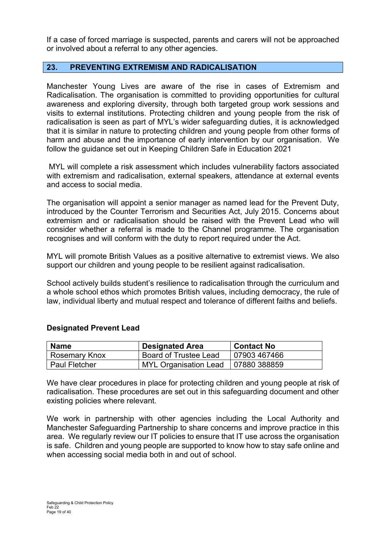If a case of forced marriage is suspected, parents and carers will not be approached or involved about a referral to any other agencies.

# **23. PREVENTING EXTREMISM AND RADICALISATION**

Manchester Young Lives are aware of the rise in cases of Extremism and Radicalisation. The organisation is committed to providing opportunities for cultural awareness and exploring diversity, through both targeted group work sessions and visits to external institutions. Protecting children and young people from the risk of radicalisation is seen as part of MYL's wider safeguarding duties, it is acknowledged that it is similar in nature to protecting children and young people from other forms of harm and abuse and the importance of early intervention by our organisation. We follow the guidance set out in Keeping Children Safe in Education 2021

MYL will complete a risk assessment which includes vulnerability factors associated with extremism and radicalisation, external speakers, attendance at external events and access to social media.

The organisation will appoint a senior manager as named lead for the Prevent Duty, introduced by the Counter Terrorism and Securities Act, July 2015. Concerns about extremism and or radicalisation should be raised with the Prevent Lead who will consider whether a referral is made to the Channel programme. The organisation recognises and will conform with the duty to report required under the Act.

MYL will promote British Values as a positive alternative to extremist views. We also support our children and young people to be resilient against radicalisation.

School actively builds student's resilience to radicalisation through the curriculum and a whole school ethos which promotes British values, including democracy, the rule of law, individual liberty and mutual respect and tolerance of different faiths and beliefs.

#### **Designated Prevent Lead**

| <b>Name</b>          | <b>Designated Area</b>               | <b>Contact No</b> |
|----------------------|--------------------------------------|-------------------|
| Rosemary Knox        | <b>Board of Trustee Lead</b>         | 07903 467466      |
| <b>Paul Fletcher</b> | MYL Organisation Lead   07880 388859 |                   |

We have clear procedures in place for protecting children and young people at risk of radicalisation. These procedures are set out in this safeguarding document and other existing policies where relevant.

We work in partnership with other agencies including the Local Authority and Manchester Safeguarding Partnership to share concerns and improve practice in this area. We regularly review our IT policies to ensure that IT use across the organisation is safe. Children and young people are supported to know how to stay safe online and when accessing social media both in and out of school.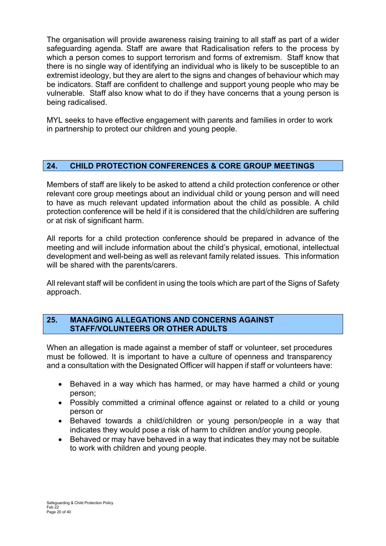The organisation will provide awareness raising training to all staff as part of a wider safeguarding agenda. Staff are aware that Radicalisation refers to the process by which a person comes to support terrorism and forms of extremism. Staff know that there is no single way of identifying an individual who is likely to be susceptible to an extremist ideology, but they are alert to the signs and changes of behaviour which may be indicators. Staff are confident to challenge and support young people who may be vulnerable. Staff also know what to do if they have concerns that a young person is being radicalised.

MYL seeks to have effective engagement with parents and families in order to work in partnership to protect our children and young people.

# **24. CHILD PROTECTION CONFERENCES & CORE GROUP MEETINGS**

Members of staff are likely to be asked to attend a child protection conference or other relevant core group meetings about an individual child or young person and will need to have as much relevant updated information about the child as possible. A child protection conference will be held if it is considered that the child/children are suffering or at risk of significant harm.

All reports for a child protection conference should be prepared in advance of the meeting and will include information about the child's physical, emotional, intellectual development and well-being as well as relevant family related issues. This information will be shared with the parents/carers.

All relevant staff will be confident in using the tools which are part of the Signs of Safety approach.

# **25. MANAGING ALLEGATIONS AND CONCERNS AGAINST STAFF/VOLUNTEERS OR OTHER ADULTS**

When an allegation is made against a member of staff or volunteer, set procedures must be followed. It is important to have a culture of openness and transparency and a consultation with the Designated Officer will happen if staff or volunteers have:

- Behaved in a way which has harmed, or may have harmed a child or young person;
- Possibly committed a criminal offence against or related to a child or young person or
- Behaved towards a child/children or young person/people in a way that indicates they would pose a risk of harm to children and/or young people.
- Behaved or may have behaved in a way that indicates they may not be suitable to work with children and young people.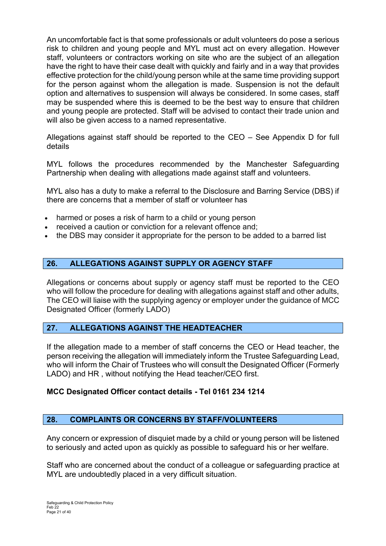An uncomfortable fact is that some professionals or adult volunteers do pose a serious risk to children and young people and MYL must act on every allegation. However staff, volunteers or contractors working on site who are the subject of an allegation have the right to have their case dealt with quickly and fairly and in a way that provides effective protection for the child/young person while at the same time providing support for the person against whom the allegation is made. Suspension is not the default option and alternatives to suspension will always be considered. In some cases, staff may be suspended where this is deemed to be the best way to ensure that children and young people are protected. Staff will be advised to contact their trade union and will also be given access to a named representative.

Allegations against staff should be reported to the CEO – See Appendix D for full details

MYL follows the procedures recommended by the Manchester Safeguarding Partnership when dealing with allegations made against staff and volunteers.

MYL also has a duty to make a referral to the Disclosure and Barring Service (DBS) if there are concerns that a member of staff or volunteer has

- harmed or poses a risk of harm to a child or young person
- received a caution or conviction for a relevant offence and;
- the DBS may consider it appropriate for the person to be added to a barred list

# **26. ALLEGATIONS AGAINST SUPPLY OR AGENCY STAFF**

Allegations or concerns about supply or agency staff must be reported to the CEO who will follow the procedure for dealing with allegations against staff and other adults, The CEO will liaise with the supplying agency or employer under the guidance of MCC Designated Officer (formerly LADO)

# **27. ALLEGATIONS AGAINST THE HEADTEACHER**

If the allegation made to a member of staff concerns the CEO or Head teacher, the person receiving the allegation will immediately inform the Trustee Safeguarding Lead, who will inform the Chair of Trustees who will consult the Designated Officer (Formerly LADO) and HR , without notifying the Head teacher/CEO first.

#### **MCC Designated Officer contact details - Tel 0161 234 1214**

# **28. COMPLAINTS OR CONCERNS BY STAFF/VOLUNTEERS**

Any concern or expression of disquiet made by a child or young person will be listened to seriously and acted upon as quickly as possible to safeguard his or her welfare.

Staff who are concerned about the conduct of a colleague or safeguarding practice at MYL are undoubtedly placed in a very difficult situation.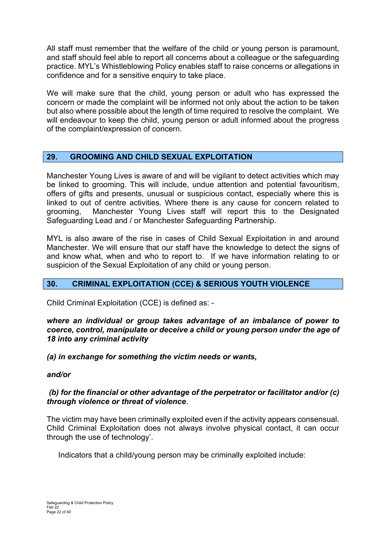All staff must remember that the welfare of the child or young person is paramount, and staff should feel able to report all concerns about a colleague or the safeguarding practice. MYL's Whistleblowing Policy enables staff to raise concerns or allegations in confidence and for a sensitive enquiry to take place.

We will make sure that the child, young person or adult who has expressed the concern or made the complaint will be informed not only about the action to be taken but also where possible about the length of time required to resolve the complaint. We will endeavour to keep the child, young person or adult informed about the progress of the complaint/expression of concern.

# **29. GROOMING AND CHILD SEXUAL EXPLOITATION**

Manchester Young Lives is aware of and will be vigilant to detect activities which may be linked to grooming. This will include, undue attention and potential favouritism, offers of gifts and presents, unusual or suspicious contact, especially where this is linked to out of centre activities. Where there is any cause for concern related to grooming, Manchester Young Lives staff will report this to the Designated Safeguarding Lead and / or Manchester Safeguarding Partnership.

MYL is also aware of the rise in cases of Child Sexual Exploitation in and around Manchester. We will ensure that our staff have the knowledge to detect the signs of and know what, when and who to report to. If we have information relating to or suspicion of the Sexual Exploitation of any child or young person.

# **30. CRIMINAL EXPLOITATION (CCE) & SERIOUS YOUTH VIOLENCE**

Child Criminal Exploitation (CCE) is defined as: -

*where an individual or group takes advantage of an imbalance of power to coerce, control, manipulate or deceive a child or young person under the age of 18 into any criminal activity* 

*(a) in exchange for something the victim needs or wants,*

#### *and/or*

#### *(b) for the financial or other advantage of the perpetrator or facilitator and/or (c) through violence or threat of violence*.

The victim may have been criminally exploited even if the activity appears consensual. Child Criminal Exploitation does not always involve physical contact, it can occur through the use of technology'.

Indicators that a child/young person may be criminally exploited include: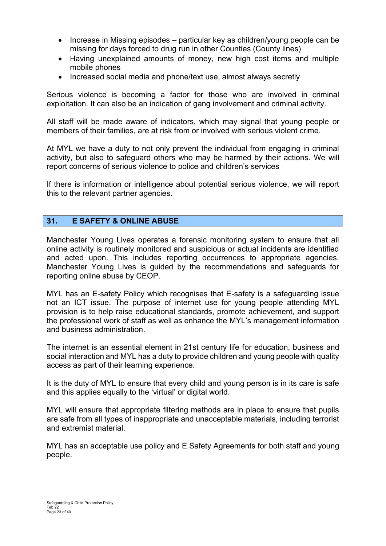- Increase in Missing episodes particular key as children/young people can be missing for days forced to drug run in other Counties (County lines)
- Having unexplained amounts of money, new high cost items and multiple mobile phones
- Increased social media and phone/text use, almost always secretly

Serious violence is becoming a factor for those who are involved in criminal exploitation. It can also be an indication of gang involvement and criminal activity.

All staff will be made aware of indicators, which may signal that young people or members of their families, are at risk from or involved with serious violent crime.

At MYL we have a duty to not only prevent the individual from engaging in criminal activity, but also to safeguard others who may be harmed by their actions. We will report concerns of serious violence to police and children's services

If there is information or intelligence about potential serious violence, we will report this to the relevant partner agencies.

#### **31. E SAFETY & ONLINE ABUSE**

Manchester Young Lives operates a forensic monitoring system to ensure that all online activity is routinely monitored and suspicious or actual incidents are identified and acted upon. This includes reporting occurrences to appropriate agencies. Manchester Young Lives is guided by the recommendations and safeguards for reporting online abuse by CEOP.

MYL has an E-safety Policy which recognises that E-safety is a safeguarding issue not an ICT issue. The purpose of internet use for young people attending MYL provision is to help raise educational standards, promote achievement, and support the professional work of staff as well as enhance the MYL's management information and business administration.

The internet is an essential element in 21st century life for education, business and social interaction and MYL has a duty to provide children and young people with quality access as part of their learning experience.

It is the duty of MYL to ensure that every child and young person is in its care is safe and this applies equally to the 'virtual' or digital world.

MYL will ensure that appropriate filtering methods are in place to ensure that pupils are safe from all types of inappropriate and unacceptable materials, including terrorist and extremist material.

MYL has an acceptable use policy and E Safety Agreements for both staff and young people.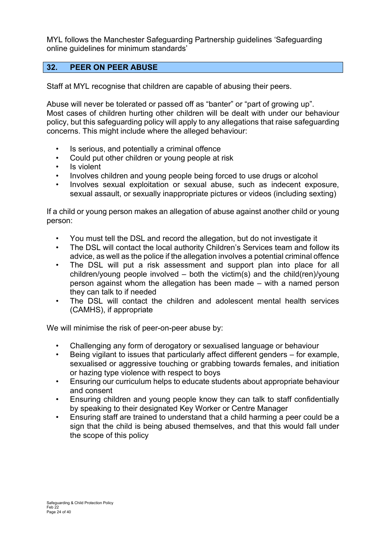MYL follows the Manchester Safeguarding Partnership guidelines 'Safeguarding online guidelines for minimum standards'

# **32. PEER ON PEER ABUSE**

Staff at MYL recognise that children are capable of abusing their peers.

Abuse will never be tolerated or passed off as "banter" or "part of growing up". Most cases of children hurting other children will be dealt with under our behaviour policy, but this safeguarding policy will apply to any allegations that raise safeguarding concerns. This might include where the alleged behaviour:

- Is serious, and potentially a criminal offence
- Could put other children or young people at risk
- Is violent
- Involves children and young people being forced to use drugs or alcohol
- Involves sexual exploitation or sexual abuse, such as indecent exposure, sexual assault, or sexually inappropriate pictures or videos (including sexting)

If a child or young person makes an allegation of abuse against another child or young person:

- You must tell the DSL and record the allegation, but do not investigate it
- The DSL will contact the local authority Children's Services team and follow its advice, as well as the police if the allegation involves a potential criminal offence
- The DSL will put a risk assessment and support plan into place for all children/young people involved – both the victim(s) and the child(ren)/young person against whom the allegation has been made – with a named person they can talk to if needed
- The DSL will contact the children and adolescent mental health services (CAMHS), if appropriate

We will minimise the risk of peer-on-peer abuse by:

- Challenging any form of derogatory or sexualised language or behaviour
- Being vigilant to issues that particularly affect different genders for example, sexualised or aggressive touching or grabbing towards females, and initiation or hazing type violence with respect to boys
- Ensuring our curriculum helps to educate students about appropriate behaviour and consent
- Ensuring children and young people know they can talk to staff confidentially by speaking to their designated Key Worker or Centre Manager
- Ensuring staff are trained to understand that a child harming a peer could be a sign that the child is being abused themselves, and that this would fall under the scope of this policy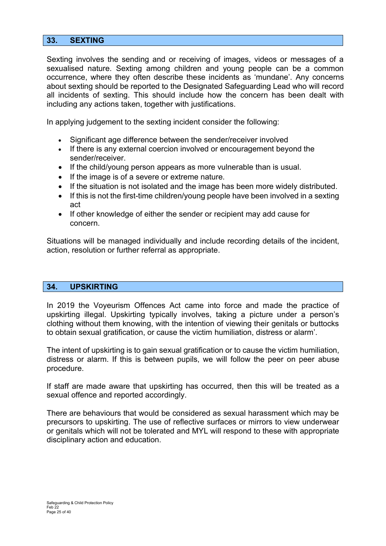# **33. SEXTING**

Sexting involves the sending and or receiving of images, videos or messages of a sexualised nature. Sexting among children and young people can be a common occurrence, where they often describe these incidents as 'mundane'. Any concerns about sexting should be reported to the Designated Safeguarding Lead who will record all incidents of sexting. This should include how the concern has been dealt with including any actions taken, together with justifications.

In applying judgement to the sexting incident consider the following:

- Significant age difference between the sender/receiver involved
- If there is any external coercion involved or encouragement beyond the sender/receiver.
- If the child/young person appears as more vulnerable than is usual.
- If the image is of a severe or extreme nature.
- If the situation is not isolated and the image has been more widely distributed.
- If this is not the first-time children/young people have been involved in a sexting act
- If other knowledge of either the sender or recipient may add cause for concern.

Situations will be managed individually and include recording details of the incident, action, resolution or further referral as appropriate.

#### **34. UPSKIRTING**

In 2019 the Voyeurism Offences Act came into force and made the practice of upskirting illegal. Upskirting typically involves, taking a picture under a person's clothing without them knowing, with the intention of viewing their genitals or buttocks to obtain sexual gratification, or cause the victim humiliation, distress or alarm'.

The intent of upskirting is to gain sexual gratification or to cause the victim humiliation, distress or alarm. If this is between pupils, we will follow the peer on peer abuse procedure.

If staff are made aware that upskirting has occurred, then this will be treated as a sexual offence and reported accordingly.

There are behaviours that would be considered as sexual harassment which may be precursors to upskirting. The use of reflective surfaces or mirrors to view underwear or genitals which will not be tolerated and MYL will respond to these with appropriate disciplinary action and education.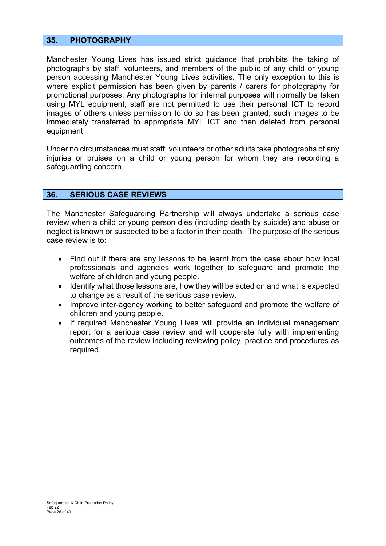# **35. PHOTOGRAPHY**

Manchester Young Lives has issued strict guidance that prohibits the taking of photographs by staff, volunteers, and members of the public of any child or young person accessing Manchester Young Lives activities. The only exception to this is where explicit permission has been given by parents / carers for photography for promotional purposes. Any photographs for internal purposes will normally be taken using MYL equipment, staff are not permitted to use their personal ICT to record images of others unless permission to do so has been granted; such images to be immediately transferred to appropriate MYL ICT and then deleted from personal equipment

Under no circumstances must staff, volunteers or other adults take photographs of any injuries or bruises on a child or young person for whom they are recording a safeguarding concern.

# **36. SERIOUS CASE REVIEWS**

The Manchester Safeguarding Partnership will always undertake a serious case review when a child or young person dies (including death by suicide) and abuse or neglect is known or suspected to be a factor in their death. The purpose of the serious case review is to:

- Find out if there are any lessons to be learnt from the case about how local professionals and agencies work together to safeguard and promote the welfare of children and young people.
- Identify what those lessons are, how they will be acted on and what is expected to change as a result of the serious case review.
- Improve inter-agency working to better safeguard and promote the welfare of children and young people.
- If required Manchester Young Lives will provide an individual management report for a serious case review and will cooperate fully with implementing outcomes of the review including reviewing policy, practice and procedures as required.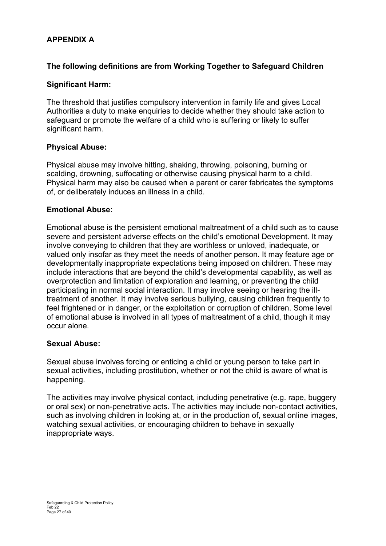# **APPENDIX A**

# **The following definitions are from Working Together to Safeguard Children**

#### **Significant Harm:**

The threshold that justifies compulsory intervention in family life and gives Local Authorities a duty to make enquiries to decide whether they should take action to safeguard or promote the welfare of a child who is suffering or likely to suffer significant harm.

#### **Physical Abuse:**

Physical abuse may involve hitting, shaking, throwing, poisoning, burning or scalding, drowning, suffocating or otherwise causing physical harm to a child. Physical harm may also be caused when a parent or carer fabricates the symptoms of, or deliberately induces an illness in a child.

# **Emotional Abuse:**

Emotional abuse is the persistent emotional maltreatment of a child such as to cause severe and persistent adverse effects on the child's emotional Development. It may involve conveying to children that they are worthless or unloved, inadequate, or valued only insofar as they meet the needs of another person. It may feature age or developmentally inappropriate expectations being imposed on children. These may include interactions that are beyond the child's developmental capability, as well as overprotection and limitation of exploration and learning, or preventing the child participating in normal social interaction. It may involve seeing or hearing the illtreatment of another. It may involve serious bullying, causing children frequently to feel frightened or in danger, or the exploitation or corruption of children. Some level of emotional abuse is involved in all types of maltreatment of a child, though it may occur alone.

#### **Sexual Abuse:**

Sexual abuse involves forcing or enticing a child or young person to take part in sexual activities, including prostitution, whether or not the child is aware of what is happening.

The activities may involve physical contact, including penetrative (e.g. rape, buggery or oral sex) or non-penetrative acts. The activities may include non-contact activities, such as involving children in looking at, or in the production of, sexual online images, watching sexual activities, or encouraging children to behave in sexually inappropriate ways.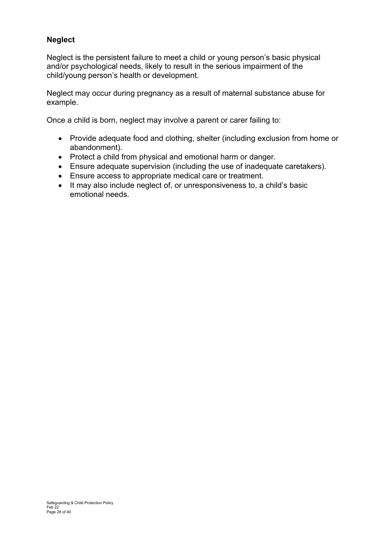# **Neglect**

Neglect is the persistent failure to meet a child or young person's basic physical and/or psychological needs, likely to result in the serious impairment of the child/young person's health or development.

Neglect may occur during pregnancy as a result of maternal substance abuse for example.

Once a child is born, neglect may involve a parent or carer failing to:

- Provide adequate food and clothing, shelter (including exclusion from home or abandonment).
- Protect a child from physical and emotional harm or danger.
- Ensure adequate supervision (including the use of inadequate caretakers).
- Ensure access to appropriate medical care or treatment.
- It may also include neglect of, or unresponsiveness to, a child's basic emotional needs.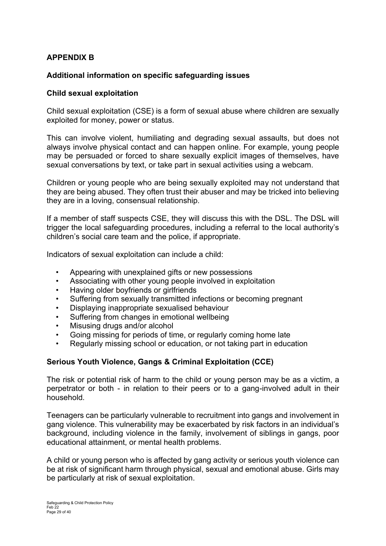# **APPENDIX B**

# **Additional information on specific safeguarding issues**

#### **Child sexual exploitation**

Child sexual exploitation (CSE) is a form of sexual abuse where children are sexually exploited for money, power or status.

This can involve violent, humiliating and degrading sexual assaults, but does not always involve physical contact and can happen online. For example, young people may be persuaded or forced to share sexually explicit images of themselves, have sexual conversations by text, or take part in sexual activities using a webcam.

Children or young people who are being sexually exploited may not understand that they are being abused. They often trust their abuser and may be tricked into believing they are in a loving, consensual relationship.

If a member of staff suspects CSE, they will discuss this with the DSL. The DSL will trigger the local safeguarding procedures, including a referral to the local authority's children's social care team and the police, if appropriate.

Indicators of sexual exploitation can include a child:

- Appearing with unexplained gifts or new possessions
- Associating with other young people involved in exploitation
- Having older boyfriends or girlfriends
- Suffering from sexually transmitted infections or becoming pregnant
- Displaying inappropriate sexualised behaviour
- Suffering from changes in emotional wellbeing
- Misusing drugs and/or alcohol
- Going missing for periods of time, or regularly coming home late
- Regularly missing school or education, or not taking part in education

# **Serious Youth Violence, Gangs & Criminal Exploitation (CCE)**

The risk or potential risk of harm to the child or young person may be as a victim, a perpetrator or both - in relation to their peers or to a gang-involved adult in their household.

Teenagers can be particularly vulnerable to recruitment into gangs and involvement in gang violence. This vulnerability may be exacerbated by risk factors in an individual's background, including violence in the family, involvement of siblings in gangs, poor educational attainment, or mental health problems.

A child or young person who is affected by gang activity or serious youth violence can be at risk of significant harm through physical, sexual and emotional abuse. Girls may be particularly at risk of sexual exploitation.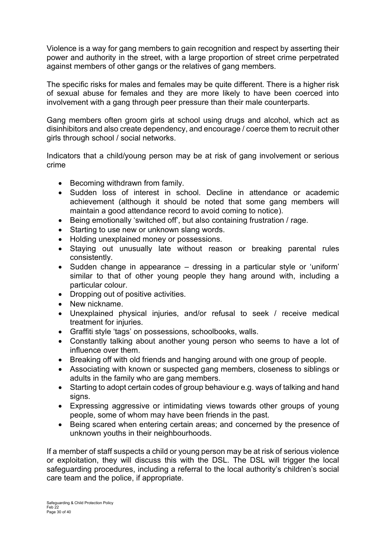Violence is a way for gang members to gain recognition and respect by asserting their power and authority in the street, with a large proportion of street crime perpetrated against members of other gangs or the relatives of gang members.

The specific risks for males and females may be quite different. There is a higher risk of sexual abuse for females and they are more likely to have been coerced into involvement with a gang through peer pressure than their male counterparts.

Gang members often groom girls at school using drugs and alcohol, which act as disinhibitors and also create dependency, and encourage / coerce them to recruit other girls through school / social networks.

Indicators that a child/young person may be at risk of gang involvement or serious crime

- Becoming withdrawn from family.
- Sudden loss of interest in school. Decline in attendance or academic achievement (although it should be noted that some gang members will maintain a good attendance record to avoid coming to notice).
- Being emotionally 'switched off', but also containing frustration / rage.
- Starting to use new or unknown slang words.
- Holding unexplained money or possessions.
- Staying out unusually late without reason or breaking parental rules consistently.
- Sudden change in appearance dressing in a particular style or 'uniform' similar to that of other young people they hang around with, including a particular colour.
- Dropping out of positive activities.
- New nickname.
- Unexplained physical injuries, and/or refusal to seek / receive medical treatment for injuries.
- Graffiti style 'tags' on possessions, schoolbooks, walls.
- Constantly talking about another young person who seems to have a lot of influence over them.
- Breaking off with old friends and hanging around with one group of people.
- Associating with known or suspected gang members, closeness to siblings or adults in the family who are gang members.
- Starting to adopt certain codes of group behaviour e.g. ways of talking and hand signs.
- Expressing aggressive or intimidating views towards other groups of young people, some of whom may have been friends in the past.
- Being scared when entering certain areas; and concerned by the presence of unknown youths in their neighbourhoods.

If a member of staff suspects a child or young person may be at risk of serious violence or exploitation, they will discuss this with the DSL. The DSL will trigger the local safeguarding procedures, including a referral to the local authority's children's social care team and the police, if appropriate.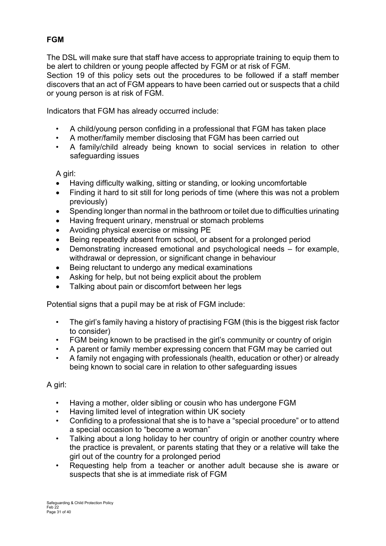# **FGM**

The DSL will make sure that staff have access to appropriate training to equip them to be alert to children or young people affected by FGM or at risk of FGM. Section 19 of this policy sets out the procedures to be followed if a staff member discovers that an act of FGM appears to have been carried out or suspects that a child or young person is at risk of FGM.

Indicators that FGM has already occurred include:

- A child/young person confiding in a professional that FGM has taken place
- A mother/family member disclosing that FGM has been carried out
- A family/child already being known to social services in relation to other safeguarding issues

A girl:

- Having difficulty walking, sitting or standing, or looking uncomfortable
- Finding it hard to sit still for long periods of time (where this was not a problem previously)
- Spending longer than normal in the bathroom or toilet due to difficulties urinating
- Having frequent urinary, menstrual or stomach problems
- Avoiding physical exercise or missing PE
- Being repeatedly absent from school, or absent for a prolonged period
- Demonstrating increased emotional and psychological needs for example, withdrawal or depression, or significant change in behaviour
- Being reluctant to undergo any medical examinations
- Asking for help, but not being explicit about the problem
- Talking about pain or discomfort between her legs

Potential signs that a pupil may be at risk of FGM include:

- The girl's family having a history of practising FGM (this is the biggest risk factor to consider)
- FGM being known to be practised in the girl's community or country of origin
- A parent or family member expressing concern that FGM may be carried out
- A family not engaging with professionals (health, education or other) or already being known to social care in relation to other safeguarding issues

A girl:

- Having a mother, older sibling or cousin who has undergone FGM
- Having limited level of integration within UK society
- Confiding to a professional that she is to have a "special procedure" or to attend a special occasion to "become a woman"
- Talking about a long holiday to her country of origin or another country where the practice is prevalent, or parents stating that they or a relative will take the girl out of the country for a prolonged period
- Requesting help from a teacher or another adult because she is aware or suspects that she is at immediate risk of FGM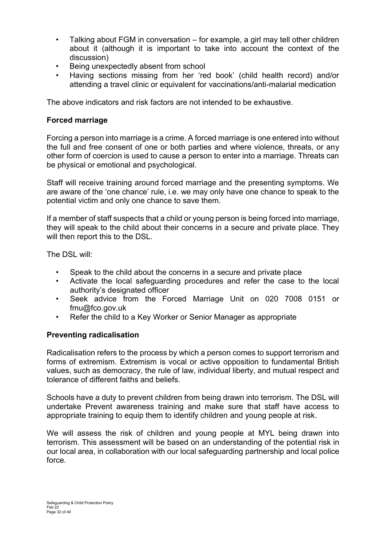- Talking about FGM in conversation for example, a girl may tell other children about it (although it is important to take into account the context of the discussion)
- Being unexpectedly absent from school
- Having sections missing from her 'red book' (child health record) and/or attending a travel clinic or equivalent for vaccinations/anti-malarial medication

The above indicators and risk factors are not intended to be exhaustive.

# **Forced marriage**

Forcing a person into marriage is a crime. A forced marriage is one entered into without the full and free consent of one or both parties and where violence, threats, or any other form of coercion is used to cause a person to enter into a marriage. Threats can be physical or emotional and psychological.

Staff will receive training around forced marriage and the presenting symptoms. We are aware of the 'one chance' rule, i.e. we may only have one chance to speak to the potential victim and only one chance to save them.

If a member of staff suspects that a child or young person is being forced into marriage, they will speak to the child about their concerns in a secure and private place. They will then report this to the DSL.

The DSL will:

- Speak to the child about the concerns in a secure and private place
- Activate the local safeguarding procedures and refer the case to the local authority's designated officer
- Seek advice from the Forced Marriage Unit on 020 7008 0151 or fmu@fco.gov.uk
- Refer the child to a Key Worker or Senior Manager as appropriate

#### **Preventing radicalisation**

Radicalisation refers to the process by which a person comes to support terrorism and forms of extremism. Extremism is vocal or active opposition to fundamental British values, such as democracy, the rule of law, individual liberty, and mutual respect and tolerance of different faiths and beliefs.

Schools have a duty to prevent children from being drawn into terrorism. The DSL will undertake Prevent awareness training and make sure that staff have access to appropriate training to equip them to identify children and young people at risk.

We will assess the risk of children and young people at MYL being drawn into terrorism. This assessment will be based on an understanding of the potential risk in our local area, in collaboration with our local safeguarding partnership and local police force.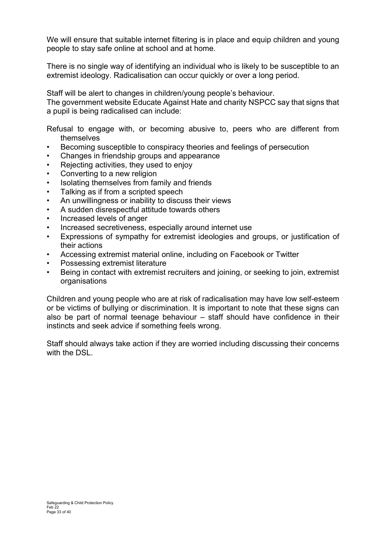We will ensure that suitable internet filtering is in place and equip children and young people to stay safe online at school and at home.

There is no single way of identifying an individual who is likely to be susceptible to an extremist ideology. Radicalisation can occur quickly or over a long period.

Staff will be alert to changes in children/young people's behaviour.

The government website Educate Against Hate and charity NSPCC say that signs that a pupil is being radicalised can include:

Refusal to engage with, or becoming abusive to, peers who are different from themselves

- Becoming susceptible to conspiracy theories and feelings of persecution
- Changes in friendship groups and appearance
- Rejecting activities, they used to enjoy
- Converting to a new religion
- Isolating themselves from family and friends
- Talking as if from a scripted speech
- An unwillingness or inability to discuss their views
- A sudden disrespectful attitude towards others
- Increased levels of anger
- Increased secretiveness, especially around internet use
- Expressions of sympathy for extremist ideologies and groups, or justification of their actions
- Accessing extremist material online, including on Facebook or Twitter
- Possessing extremist literature
- Being in contact with extremist recruiters and joining, or seeking to join, extremist organisations

Children and young people who are at risk of radicalisation may have low self-esteem or be victims of bullying or discrimination. It is important to note that these signs can also be part of normal teenage behaviour – staff should have confidence in their instincts and seek advice if something feels wrong.

Staff should always take action if they are worried including discussing their concerns with the DSL.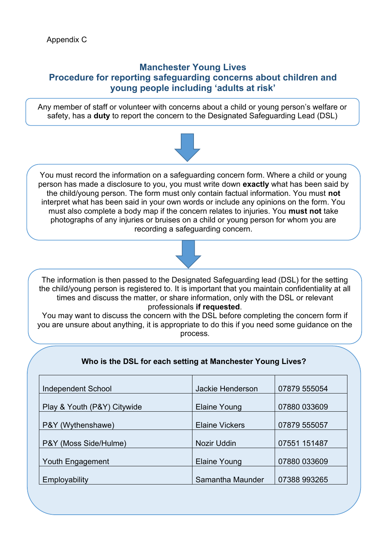Page 34 of 40

# **Manchester Young Lives Procedure for reporting safeguarding concerns about children and young people including 'adults at risk'**

Any member of staff or volunteer with concerns about a child or young person's welfare or safety, has a **duty** to report the concern to the Designated Safeguarding Lead (DSL)



You must record the information on a safeguarding concern form. Where a child or young person has made a disclosure to you, you must write down **exactly** what has been said by the child/young person. The form must only contain factual information. You must **not** interpret what has been said in your own words or include any opinions on the form. You must also complete a body map if the concern relates to injuries. You **must not** take photographs of any injuries or bruises on a child or young person for whom you are recording a safeguarding concern.



The information is then passed to the Designated Safeguarding lead (DSL) for the setting the child/young person is registered to. It is important that you maintain confidentiality at all times and discuss the matter, or share information, only with the DSL or relevant professionals **if requested**.

You may want to discuss the concern with the DSL before completing the concern form if you are unsure about anything, it is appropriate to do this if you need some guidance on the process.

|  |  | Who is the DSL for each setting at Manchester Young Lives? |  |  |
|--|--|------------------------------------------------------------|--|--|
|  |  |                                                            |  |  |

| <b>Independent School</b>   | Jackie Henderson      | 07879 555054 |
|-----------------------------|-----------------------|--------------|
| Play & Youth (P&Y) Citywide | <b>Elaine Young</b>   | 07880 033609 |
| P&Y (Wythenshawe)           | <b>Elaine Vickers</b> | 07879 555057 |
| P&Y (Moss Side/Hulme)       | <b>Nozir Uddin</b>    | 07551 151487 |
| Youth Engagement            | <b>Elaine Young</b>   | 07880 033609 |
|                             |                       |              |
| Employability               | Samantha Maunder      | 07388 993265 |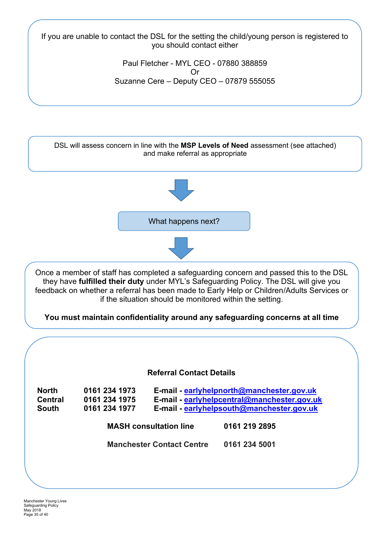

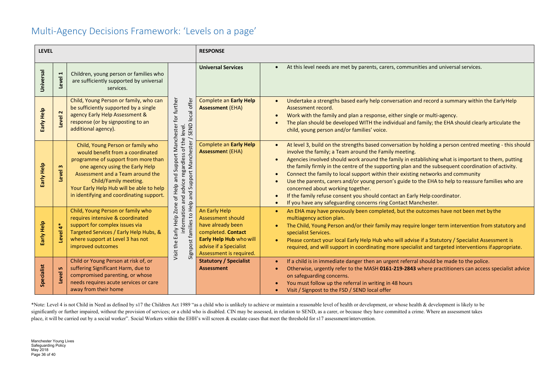# Multi-Agency Decisions Framework: 'Levels on a page'

| <b>LEVEL</b> |             |                                                                                                                                                                                                                                                                                                      |                                                                                                                                         | <b>RESPONSE</b>                                                                                                                                                      |                                                                                                                                                                                                                                                                                                                                                                                                                                                                                                                                                                                                                                                                                                                                                                                         |  |  |  |                           |                                                                                     |
|--------------|-------------|------------------------------------------------------------------------------------------------------------------------------------------------------------------------------------------------------------------------------------------------------------------------------------------------------|-----------------------------------------------------------------------------------------------------------------------------------------|----------------------------------------------------------------------------------------------------------------------------------------------------------------------|-----------------------------------------------------------------------------------------------------------------------------------------------------------------------------------------------------------------------------------------------------------------------------------------------------------------------------------------------------------------------------------------------------------------------------------------------------------------------------------------------------------------------------------------------------------------------------------------------------------------------------------------------------------------------------------------------------------------------------------------------------------------------------------------|--|--|--|---------------------------|-------------------------------------------------------------------------------------|
| Universal    | Level 1     | Children, young person or families who<br>are sufficiently supported by universal<br>services.                                                                                                                                                                                                       | SEND local offer<br>level                                                                                                               |                                                                                                                                                                      |                                                                                                                                                                                                                                                                                                                                                                                                                                                                                                                                                                                                                                                                                                                                                                                         |  |  |  | <b>Universal Services</b> | At this level needs are met by parents, carers, communities and universal services. |
| Early Help   | Level 2     | Child, Young Person or family, who can<br>be sufficiently supported by a single<br>agency Early Help Assessment &<br>response (or by signposting to an<br>additional agency).                                                                                                                        |                                                                                                                                         | <b>Complete an Early Help</b><br><b>Assessment (EHA)</b>                                                                                                             | Undertake a strengths based early help conversation and record a summary within the Early Help<br>Assessment record.<br>Work with the family and plan a response, either single or multi-agency.<br>$\bullet$<br>The plan should be developed WITH the individual and family; the EHA should clearly articulate the<br>child, young person and/or families' voice.                                                                                                                                                                                                                                                                                                                                                                                                                      |  |  |  |                           |                                                                                     |
| Early Help   | Level 3     | Child, Young Person or family who<br>would benefit from a coordinated<br>programme of support from more than<br>one agency using the Early Help<br>Assessment and a Team around the<br>Child/Family meeting.<br>Your Early Help Hub will be able to help<br>in identifying and coordinating support. | and Support Manchester for further<br>of the<br>Support Manchester<br>advice regardless<br>$\frac{6}{10}$<br>and<br>$\overline{\sigma}$ | <b>Complete an Early Help</b><br><b>Assessment (EHA)</b>                                                                                                             | At level 3, build on the strengths based conversation by holding a person centred meeting - this should<br>involve the family; a Team around the Family meeting.<br>Agencies involved should work around the family in establishing what is important to them, putting<br>$\bullet$<br>the family firmly in the centre of the supporting plan and the subsequent coordination of activity.<br>Connect the family to local support within their existing networks and community<br>Use the parents, carers and/or young person's guide to the EHA to help to reassure families who are<br>concerned about working together.<br>If the family refuse consent you should contact an Early Help coordinator.<br>$\bullet$<br>If you have any safeguarding concerns ring Contact Manchester. |  |  |  |                           |                                                                                     |
| Early Help   | Level 4*    | Child, Young Person or family who<br>requires intensive & coordinated<br>support for complex issues via<br>Targeted Services / Early Help Hubs, &<br>where support at Level 3 has not<br>improved outcomes                                                                                           | Signpost families to Help and<br>Visit the Early Help Zone<br>nformation                                                                | An Early Help<br><b>Assessment should</b><br>have already been<br>completed. Contact<br>Early Help Hub who will<br>advise if a Specialist<br>Assessment is required. | An EHA may have previously been completed, but the outcomes have not been met by the<br>$\bullet$<br>multiagency action plan.<br>The Child, Young Person and/or their family may require longer term intervention from statutory and<br>specialist Services.<br>Please contact your local Early Help Hub who will advise if a Statutory / Specialist Assessment is<br>$\bullet$<br>required, and will support in coordinating more specialist and targeted interventions if appropriate.                                                                                                                                                                                                                                                                                                |  |  |  |                           |                                                                                     |
| Specialist   | n,<br>Level | Child or Young Person at risk of, or<br>suffering Significant Harm, due to<br>compromised parenting, or whose<br>needs requires acute services or care<br>away from their home                                                                                                                       |                                                                                                                                         | <b>Statutory / Specialist</b><br><b>Assessment</b>                                                                                                                   | If a child is in immediate danger then an urgent referral should be made to the police.<br>$\bullet$<br>Otherwise, urgently refer to the MASH 0161-219-2843 where practitioners can access specialist advice<br>on safeguarding concerns.<br>You must follow up the referral in writing in 48 hours<br>Visit / Signpost to the FSD / SEND local offer                                                                                                                                                                                                                                                                                                                                                                                                                                   |  |  |  |                           |                                                                                     |

\*Note: Level 4 is not Child in Need as defined by s17 the Children Act 1989 "as a child who is unlikely to achieve or maintain a reasonable level of health or development, or whose health & development is likely to be significantly or further impaired, without the provision of services; or a child who is disabled. CIN may be assessed, in relation to SEND, as a carer, or because they have committed a crime. Where an assessment takes place, it will be carried out by a social worker". Social Workers within the EHH's will screen & escalate cases that meet the threshold for s17 assessment/intervention.

Manchester Young Lives Safeguarding Policy May 2018 Page 36 of 40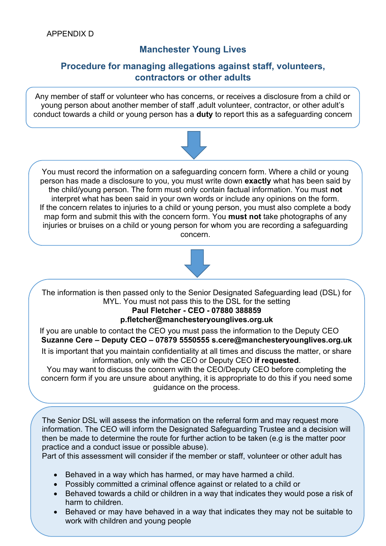# **Manchester Young Lives**

# **Procedure for managing allegations against staff, volunteers, contractors or other adults**

Any member of staff or volunteer who has concerns, or receives a disclosure from a child or young person about another member of staff ,adult volunteer, contractor, or other adult's conduct towards a child or young person has a **duty** to report this as a safeguarding concern



You must record the information on a safeguarding concern form. Where a child or young person has made a disclosure to you, you must write down **exactly** what has been said by the child/young person. The form must only contain factual information. You must **not** interpret what has been said in your own words or include any opinions on the form. If the concern relates to injuries to a child or young person, you must also complete a body map form and submit this with the concern form. You **must not** take photographs of any injuries or bruises on a child or young person for whom you are recording a safeguarding concern.



The information is then passed only to the Senior Designated Safeguarding lead (DSL) for MYL. You must not pass this to the DSL for the setting

#### **Paul Fletcher - CEO - 07880 388859 p.fletcher@manchesteryounglives.org.uk**

If you are unable to contact the CEO you must pass the information to the Deputy CEO **Suzanne Cere – Deputy CEO – 07879 5550555 s.cere@manchesteryounglives.org.uk** It is important that you maintain confidentiality at all times and discuss the matter, or share

information, only with the CEO or Deputy CEO **if requested**.

You may want to discuss the concern with the CEO/Deputy CEO before completing the concern form if you are unsure about anything, it is appropriate to do this if you need some guidance on the process.

The Senior DSL will assess the information on the referral form and may request more information. The CEO will inform the Designated Safeguarding Trustee and a decision will then be made to determine the route for further action to be taken (e.g is the matter poor practice and a conduct issue or possible abuse).

Part of this assessment will consider if the member or staff, volunteer or other adult has

- Behaved in a way which has harmed, or may have harmed a child.
- Possibly committed a criminal offence against or related to a child or
- Behaved towards a child or children in a way that indicates they would pose a risk of harm to children.
- Behaved or may have behaved in a way that indicates they may not be suitable to work with children and young people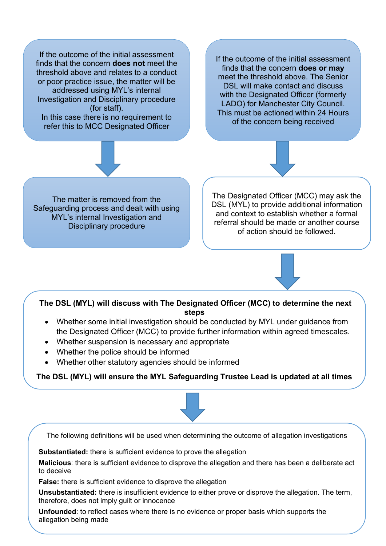The Designated Officer (MCC) may ask the DSL (MYL) to provide additional information and context to establish whether a formal referral should be made or another course of action should be followed. If the outcome of the initial assessment finds that the concern **does not** meet the threshold above and relates to a conduct or poor practice issue, the matter will be addressed using MYL's internal Investigation and Disciplinary procedure (for staff). In this case there is no requirement to refer this to MCC Designated Officer If the outcome of the initial assessment finds that the concern **does or may** meet the threshold above. The Senior DSL will make contact and discuss with the Designated Officer (formerly LADO) for Manchester City Council. This must be actioned within 24 Hours of the concern being received The matter is removed from the Safeguarding process and dealt with using MYL's internal Investigation and Disciplinary procedure

#### **The DSL (MYL) will discuss with The Designated Officer (MCC) to determine the next steps**

- Whether some initial investigation should be conducted by MYL under guidance from the Designated Officer (MCC) to provide further information within agreed timescales.
- Whether suspension is necessary and appropriate
- Whether the police should be informed
- Whether other statutory agencies should be informed

# **The DSL (MYL) will ensure the MYL Safeguarding Trustee Lead is updated at all times**

The following definitions will be used when determining the outcome of allegation investigations

**Substantiated:** there is sufficient evidence to prove the allegation

**Malicious**: there is sufficient evidence to disprove the allegation and there has been a deliberate act to deceive

**False:** there is sufficient evidence to disprove the allegation

**Unsubstantiated:** there is insufficient evidence to either prove or disprove the allegation. The term, therefore, does not imply guilt or innocence

**Unfounded**: to reflect cases where there is no evidence or proper basis which supports the allegation being made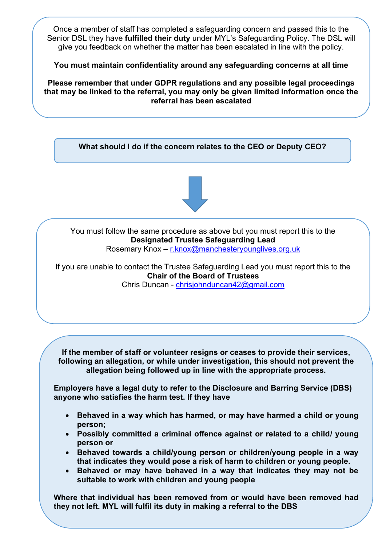Once a member of staff has completed a safeguarding concern and passed this to the Senior DSL they have **fulfilled their duty** under MYL's Safeguarding Policy. The DSL will give you feedback on whether the matter has been escalated in line with the policy.

**You must maintain confidentiality around any safeguarding concerns at all time**

**Please remember that under GDPR regulations and any possible legal proceedings that may be linked to the referral, you may only be given limited information once the referral has been escalated**